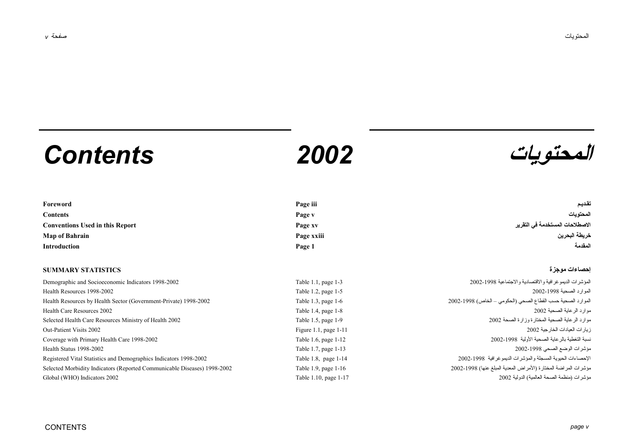# **المحتويات** *2002 Contents*



| Foreword                               | Page iii   | تقديم                           |
|----------------------------------------|------------|---------------------------------|
| <b>Contents</b>                        | Page v     | المحتو بات                      |
| <b>Conventions Used in this Report</b> | Page xv    | الاصطلاحات المستخدمة في التقرير |
| <b>Map of Bahrain</b>                  | Page xxiii | خريطة البحرين                   |
| Introduction                           | Page 1     | المقدمة                         |

### **إحصاءات موجزة STATISTICS SUMMARY**

| Demographic and Socioeconomic Indicators 1998-2002                       | Table $1.1$ ,  |
|--------------------------------------------------------------------------|----------------|
| Health Resources 1998-2002                                               | Table $1.2$ .  |
| Health Resources by Health Sector (Government-Private) 1998-2002         | Table $1.3$ ,  |
| Health Care Resources 2002                                               | Table $1.4$ .  |
| Selected Health Care Resources Ministry of Health 2002                   | Table $1.5$ ,  |
| Out-Patient Visits 2002                                                  | Figure $1.1$ , |
| Coverage with Primary Health Care 1998-2002                              | Table $1.6$ .  |
| Health Status 1998-2002                                                  | Table $1.7$ ,  |
| Registered Vital Statistics and Demographics Indicators 1998-2002        | Table $1.8$ .  |
| Selected Morbidity Indicators (Reported Communicable Diseases) 1998-2002 | Table $1.9$ .  |
| Global (WHO) Indicators 2002                                             | Table 1.10     |

Demographic and Socioeconomic Indicators 1998-2002 Table 1.1, page 1-3 2002-1998 والاجتماعية والاقتصادية الديموغرافية المؤشرات Health Resources 1998-2002 Table 1.2, page 1-5 2002-1998 الصحية الموارد Health Resources by Health Sector (Government-Private) 1998-2002 Table 1.3, page 1-6 2002-1998 (الخاص – الحكومي (الصحي القطاع حسب الصحية الموارد Health Care Resources 2002 Table 1.4, page 1-8 2002 الصحية الرعاية موارد Selected Health Care Resources Ministry of Health 2002 Table 1.5, page 1-9 2002 الصحة وزارة المختارة الصحية الرعاية موارد Out-Patient Visits 2002 Figure 1.1, page 1-11 2002 الخارجية العيادات زيارات Coverage with Primary Health Care 1998-2002 Table 1.6, page 1-12 2002-1998 الأولية الصحية بالرعاية التغطية نسبة Health Status 1998-2002 Table 1.7, page 1-13 2002-1998 الصحي الوضع مؤشرات Registered Vital Statistics and Demographics Indicators 1998-2002 Table 1.8, page 1-14 2002-1998 الديموغرافية والمؤشرات المسجلة الحيوية الإحصاءات Selected Morbidity Indicators (Reported Communicable Diseases) 1998-2002 Table 1.9, page 1-16 2002-1998 (عنها المبلغ المعدية الأمراض (المختارة المراضة مؤشرات مؤشرات (منظمة الصحة العالمية) الدولية 2002 1-17 page 1.10, Table 2002 Indicators) WHO (Global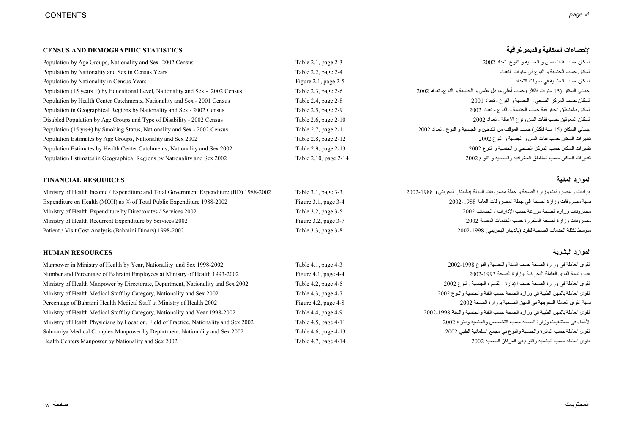### **CENSUS AND DEMOGRAPHIC STATISTICS والديموغرافية السكانية الإحصاءات**

| Population by Age Groups, Nationality and Sex-2002 Census                       | Table 2.1, page 2-3      | السكان حسب فئات السن و الجنسية و النو ع- تعداد 2002                                 |
|---------------------------------------------------------------------------------|--------------------------|-------------------------------------------------------------------------------------|
| Population by Nationality and Sex in Census Years                               | Table 2.2, page 2-4      | السكان حسب الجنسية و النوع في سنوات التعداد                                         |
| Population by Nationality in Census Years                                       | Figure 2.1, page $2-5$   | السكان حسب الجنسية في سنوات التعداد                                                 |
| Population (15 years +) by Educational Level, Nationality and Sex - 2002 Census | Table $2.3$ , page $2-6$ | إجمالي السكان (15 سنو ات فاكثر ) حسب أعلى مؤ هل علمي و الجنسية و النو ع- تعداد 2002 |
| Population by Health Center Catchments, Nationality and Sex - 2001 Census       | Table 2.4, page $2-8$    | السكان حسب المركز الصحي و الجنسية و النوع - تعداد 2001                              |
| Population in Geographical Regions by Nationality and Sex - 2002 Census         | Table 2.5, page 2-9      | السكان بالمناطق الجغر افية حسب الجنسية و النوع ـ تعداد 2002                         |
| Disabled Population by Age Groups and Type of Disability - 2002 Census          | Table 2.6, page 2-10     | السكان المعوقين حسب فئات السن ونوع الإعاقة - تعداد 2002                             |
| Population (15 yrs+) by Smoking Status, Nationality and Sex - 2002 Census       | Table 2.7, page 2-11     | إجمالي السكان (15 سنة فأكثر ) حسب الموقف من التدخين و الجنسية و النو ع ـ تعداد 2002 |
| Population Estimates by Age Groups, Nationality and Sex 2002                    | Table 2.8, page 2-12     | تقدير ات السكان حسب فئات السن و الجنسية و النو ع 2002                               |
| Population Estimates by Health Center Catchments, Nationality and Sex 2002      | Table 2.9, page 2-13     | تقدير ات السكان حسب المركز الصحى و الجنسية و النوع 2002                             |
| Population Estimates in Geographical Regions by Nationality and Sex 2002        | Table 2.10, page 2-14    | تقدير ات السكان حسب المناطق الجغر افية والجنسية و النوع 2002                        |

### **الموارد المالية RESOURCES FINANCIAL**

Ministry of Health Income / Expenditure and Total Government Expenditure (BD) 1988-2002 Table 3.1, page 3-3 2002-1988 (البحريني بالدينار (الدولة مصروفات جملة <sup>و</sup> الصحة وزارة مصروفات <sup>و</sup> إيرادات Expenditure on Health (MOH) as % of Total Public Expenditure 1988-2002 Figure 3.1, page 3-4 2002-1988 العامة المصروفات جملة إلى الصحة وزارة مصروفات نسبة مصروفات وزارة الصحة موزعة حسب الإدارات / الخدمات 2002 . [10] Table 3.2, page 3-5 2002 . [10] المحمد الإدارات / الخدمات 2002 . [10] Table 3.2, page 3-5 2002 . [10] الخدمات 2002 . [10] Ministry of Health Expenditure by Dire Ministry of Health Recurrent Expenditure by Services 2002 Figure 3.2, page 3-7 2002 المقدمة الخدمات حسب المتكررة الصحة وزارة مصروفات Patient / Visit Cost Analysis (Bahraini Dinars) 1998-2002 Table 3.3, page 3-8 2002-1998 (البحريني بالدينار (للفرد الصحية الخدمات تكلفة متوسط

### **الموارد البشرية RESOURCES HUMAN**

Manpower in Ministry of Health by Year, Nationality and Sex 1998-2002 Table 4.1, page 4-3 2002-1998 والنوع والجنسية السنة حسب الصحة وزارة في العاملة القوى Number and Percentage of Bahraini Employees at Ministry of Health 1993-2002 Figure 4.1, page 4-4 2002-1993 الصحة بوزارة البحرينية العاملة القوى ونسبة عدد Ministry of Health Manpower by Directorate, Department, Nationality and Sex 2002 Table 4.2, page 4-5 2002 والنوع الجنسية ، القسم ، الإدارة حسب الصحة وزارة في العاملة القوى Ministry of Health Medical Staff by Category, Nationality and Sex 2002 Table 4.3, page 4-7 2002 والنوع والجنسية الفئة حسب الصحة وزارة في الطبية بالمهن العاملة القوى Percentage of Bahraini Health Medical Staff at Ministry of Health 2002 Figure 4.2, page 4-8 2002 الصحة بوزارة الصحية المهن في البحرينية العاملة القوى نسبة Ministry of Health Medical Staff by Category, Nationality and Year 1998-2002 Table 4.4, page 4-9 2002-1998 والسنة والجنسية الفئة حسب الصحة وزارة في الطبية بالمهن العاملة القوى Ministry of Health Physicians by Location, Field of Practice, Nationality and Sex 2002 Table 4.5, page 4-11 2002 والنوع والجنسية التخصص حسب الصحة وزارة مستشفيات في الأطباء Salmaniya Medical Complex Manpower by Department, Nationality and Sex 2002 Table 4.6, page 4-13 2002 الطبي السلمانية مجمع في والنوع والجنسية الدائرة حسب العاملة القوى Health Centers Manpower by Nationality and Sex 2002 Table 4.7, page 4-14 2002 الصحية المراآز في والنوع الجنسية حسب العاملة القوى

| انسحان حسب عنات انسن و الجنسية و اسو ح- تعداد 2002                                |
|-----------------------------------------------------------------------------------|
| السكان حسب الجنسية و النوع في سنوات التعداد                                       |
| السكان حسب الجنسية في سنوات التعداد                                               |
| إجمالي السكان (15 سنوات فاكثر) حسب أعلى مؤهل علمي و الجنسية و النو ع- تعداد 2002  |
| السكان حسب المركز الصحي و الجنسية و النوع - تعداد 2001                            |
| السكان بالمناطق الجغر افية حسب الجنسية و النوع - تعداد 2002                       |
| السكان المعوقين حسب فئات السن ونوع الإعاقة - تعداد 2002                           |
| إجمالي السكان (15 سنة فأكثر) حسب الموقف من التدخين و الجنسية و النوع ـ تعداد 2002 |
| تقدير ات السكان حسب فئات السن و الجنسية و النوع 2002                              |
| تقديرات السكان حسب المركز الصحي و الجنسية و النوع 2002                            |
| تقديرات السكان حسب المناطق الجغرافية والجنسية و النوع 2002                        |
|                                                                                   |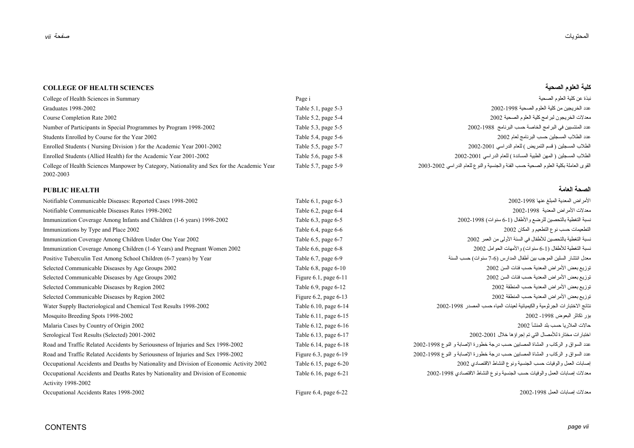# المحتويات

**الصحة**

### **COLLEGE OF HEALTH SCIENCESالصحية العلوم آلية**

# College of Health Sciences in Summary Page i الصحية العلوم آلية عن نبذة عدد الخريجين من آلية العلوم الصحية 2002-1998 5-3 page 5.1, Table 1998-2002 Graduates معدلات الخريجون لبرامج آلية العلوم الصحية 2002 5-4 page 5.2, Table 2002 Rate Completion Course Number of Participants in Special Programmes by Program 1998-2002 Table 5.3, page 5-5 2002-1988 البرنامج حسب الخاصة البرامج في المنتسبين عدد Students Enrolled by Course for the Year 2002 Table 5.4, page 5-6 2002 لعام البرنامج حسب المسجلين الطلاب عدد Enrolled Students ( Nursing Division ) for the Academic Year 2001-2002 Table 5.5, page 5-7 2002-2001 الدراسي للعام ) التمريض قسم ( المسجلين الطلاب Enrolled Students (Allied Health) for the Academic Year 2001-2002 Table 5.6, page 5-8 2002-2001 الدراسي للعام ) المساندة الطبية المهن ( المسجلين الطلاب College of Health Sciences Manpower by Category, Nationality and Sex for the Academic Year Table 5.7, page 5-9 2003-2002 الدراسي للعام والنوع والجنسية الفئة حسب الصحية العلوم بكلية العاملة القوى 2002-2003

### **العامة HEALTH PUBLIC**

| Notifiable Communicable Diseases: Reported Cases 1998-2002                              | Table 6.1, page 6-3        | الأمر اض المعدية المبلغ عنها 1998-2002                                         |
|-----------------------------------------------------------------------------------------|----------------------------|--------------------------------------------------------------------------------|
| Notifiable Communicable Diseases Rates 1998-2002                                        | Table 6.2, page 6-4        | معدلات الأمراض المعدية 1998-2002                                               |
| Immunization Coverage Among Infants and Children (1-6 years) 1998-2002                  | Table 6.3, page 6-5        | نسبة التغطية بالتحصين للرضع والأطفال (1-6 سنوات) 1998-2002                     |
| Immunizations by Type and Place 2002                                                    | Table 6.4, page 6-6        | التطعيمات حسب نوع النطعيم و المكان 2002                                        |
| Immunization Coverage Among Children Under One Year 2002                                | Table 6.5, page 6-7        | نسبة التغطية بالتحصين للأطفال في السنة الأولى من العمر 2002                    |
| Immunization Coverage Among Children (1-6 Years) and Pregnant Women 2002                | Table 6.6, page 6-8        | نسبة التغطية للأطفال (1-6 سنوات) والأمهات الحوامل 2002                         |
| Positive Tuberculin Test Among School Children (6-7 years) by Year                      | Table 6.7, page 6-9        | معدل انتشار السلين الموجب بين أطفال المدارس (6-7 سنوات) حسب السنة              |
| Selected Communicable Diseases by Age Groups 2002                                       | Table 6.8, page 6-10       | توزيع بعض الأمراض المعدية حسب فئات السن 2002                                   |
| Selected Communicable Diseases by Age Groups 2002                                       | Figure $6.1$ , page $6-11$ | توزيع بعض الأمراض المعدية حسب فئات السن 2002                                   |
| Selected Communicable Diseases by Region 2002                                           | Table 6.9, page 6-12       | توزيع بعض الأمراض المعدية حسب المنطقة 2002                                     |
| Selected Communicable Diseases by Region 2002                                           | Figure 6.2, page $6-13$    | توزيع بعض الأمراض المعدية حسب المنطقة 2002                                     |
| Water Supply Bacteriological and Chemical Test Results 1998-2002                        | Table 6.10, page 6-14      | نتائج الاختبار ات الجر ثومية والكيميائية لعينات المياه حسب المصدر 1998-2002    |
| Mosquito Breeding Spots 1998-2002                                                       | Table 6.11, page 6-15      | بؤر نكاثر البعوض 1998- 2002                                                    |
| Malaria Cases by Country of Origin 2002                                                 | Table 6.12, page 6-16      | حالات الملار يا حسب بلد المنشأ 2002                                            |
| Serological Test Results (Selected) 2001-2002                                           | Table 6.13, page 6-17      | اختبار ات مختار ة للأمصال التي تم إجر اؤ ها خلال 2001-2002                     |
| Road and Traffic Related Accidents by Seriousness of Injuries and Sex 1998-2002         | Table 6.14, page 6-18      | عدد السواق و الركاب و المشاة المصابين حسب درجة خطورة الإصابة و النوع 1998-2002 |
| Road and Traffic Related Accidents by Seriousness of Injuries and Sex 1998-2002         | Figure $6.3$ , page $6-19$ | عدد السواق و الركاب و المشاة المصابين حسب درجة خطورة الإصابة و النوع 1998-2002 |
| Occupational Accidents and Deaths by Nationality and Division of Economic Activity 2002 | Table 6.15, page 6-20      | إصابات العمل والوفيات حسب الجنسية ونوع النشاط الاقتصادي 2002                   |
| Occupational Accidents and Deaths Rates by Nationality and Division of Economic         | Table 6.16, page 6-21      | معدلات إصابات العمل والوفيات حسب الجنسية ونوع النشاط الاقتصادي 1998-2002       |
| <b>Activity 1998-2002</b>                                                               |                            |                                                                                |
| Occupational Accidents Rates 1998-2002                                                  | Figure $6.4$ , page $6-22$ | معدلات إصابات العمل 1998-2002                                                  |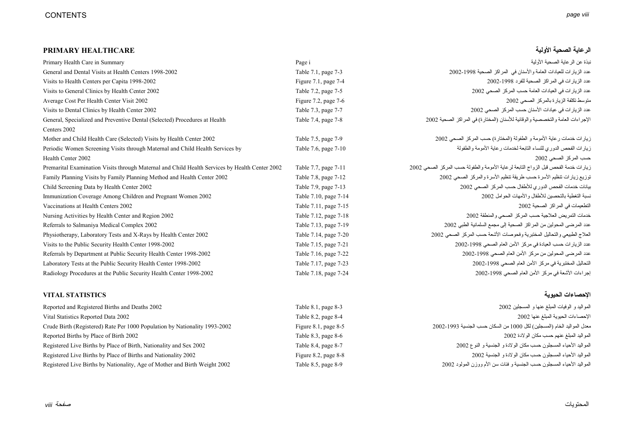# **الرعاية الصحية الأولية HEALTHCARE PRIMARY**

| Primary Health Care in Summary                                                                 | Page i                    | نبذة عن الر عابة الصحبة الأولية                                                    |
|------------------------------------------------------------------------------------------------|---------------------------|------------------------------------------------------------------------------------|
| General and Dental Visits at Health Centers 1998-2002                                          | Table 7.1, page 7-3       | عدد الزيار ات للعيادات العامة والأسنان في المراكز الصحية 1998-2002                 |
| Visits to Health Centers per Capita 1998-2002                                                  | Figure $7.1$ , page $7-4$ | عدد الزيار ات في المر اكز الصحية للفرد 1998-2002                                   |
| Visits to General Clinics by Health Center 2002                                                | Table 7.2, page 7-5       | عدد الزيار ات في العيادات العامة حسب المركز الصحى 2002                             |
| Average Cost Per Health Center Visit 2002                                                      | Figure 7.2, page $7-6$    | متوسط تكلفة الزيارة بالمركز الصحى 2002                                             |
| Visits to Dental Clinics by Health Center 2002                                                 | Table 7.3, page 7-7       | عدد الزيار ات في عيادات الأسنان حسب المركز الصحى 2002                              |
| General, Specialized and Preventive Dental (Selected) Procedures at Health                     | Table 7.4, page 7-8       | الإجراءات العامة والتخصصية والوقائية للأسنان (المختارة) في المراكز الصحية 2002     |
| Centers 2002                                                                                   |                           |                                                                                    |
| Mother and Child Health Care (Selected) Visits by Health Center 2002                           | Table 7.5, page 7-9       | زيار ات خدمات ر عاية الأمومة و الطفولة (المختارة) حسب المركز الصحى 2002            |
| Periodic Women Screening Visits through Maternal and Child Health Services by                  | Table 7.6, page 7-10      | زيارات الفحص الدوري للنساء التابعة لخدمات رعاية الأمومة والطفولة                   |
| Health Center 2002                                                                             |                           | حسب المركز الصحي 2002                                                              |
| Premarital Examination Visits through Maternal and Child Health Services by Health Center 2002 | Table 7.7, page 7-11      | زيارات خدمة الفحص قبل الزواج التابعة لرعاية الأمومة والطفولة حسب المركز الصحى 2002 |
| Family Planning Visits by Family Planning Method and Health Center 2002                        | Table 7.8, page 7-12      | توزيع زيارات تنظيم الأسرة حسب طريقة تنظيم الأسرة والمركز الصحى 2002                |
| Child Screening Data by Health Center 2002                                                     | Table 7.9, page 7-13      | بيانات خدمات الفحص الدوري للأطفال حسب المركز الصحى 2002                            |
| Immunization Coverage Among Children and Pregnant Women 2002                                   | Table 7.10, page 7-14     | نسبة التغطية بالتحصين للأطفال والأمهات الحوامل 2002                                |
| Vaccinations at Health Centers 2002                                                            | Table 7.11, page 7-15     | التطعيمات في المراكز الصحية 2002                                                   |
| Nursing Activities by Health Center and Region 2002                                            | Table 7.12, page 7-18     | خدمات التمريض العلاجية حسب المركز الصحى والمنطقة 2002                              |
| Referrals to Salmaniya Medical Complex 2002                                                    | Table 7.13, page 7-19     | عدد المرضى المحولين من المراكز الصحية إلى مجمع السلمانية الطبي 2002                |
| Physiotherapy, Laboratory Tests and X-Rays by Health Center 2002                               | Table 7.14, page 7-20     | العلاج الطبيعي والتحاليل المختبرية وفحوصات الأشعة حسب المركز الصحى 2002            |
| Visits to the Public Security Health Center 1998-2002                                          | Table 7.15, page 7-21     | عدد الزيارات حسب العيادة في مركز الأمن العام الصحى 1998-2002                       |
| Referrals by Department at Public Security Health Center 1998-2002                             | Table 7.16, page 7-22     | عدد المرضى المحولين من مركز الأمن العام الصحى 1998-2002                            |
| Laboratory Tests at the Public Security Health Center 1998-2002                                | Table 7.17, page 7-23     | التحاليل المختبرية في مركز الأمن العام الصحي 1998-2002                             |
| Radiology Procedures at the Public Security Health Center 1998-2002                            | Table 7.18, page 7-24     | إجراءات الأشعة في مركز الأمن العام الصحى 1998-2002                                 |

# **الإحصاءات الحيوية STATISTICS VITAL**

| Reported and Registered Births and Deaths 2002                             | Table 8.1, page 8-3       | المواليد و الوفيات المبلغ عنها و المسجلين 2002                           |
|----------------------------------------------------------------------------|---------------------------|--------------------------------------------------------------------------|
| Vital Statistics Reported Data 2002                                        | Table $8.2$ , page $8-4$  | الإحصاءات الحيوية المبلغ عنها 2002                                       |
| Crude Birth (Registered) Rate Per 1000 Population by Nationality 1993-2002 | Figure $8.1$ , page $8-5$ | معدل المو اليد الخام (المسجلين) لكل 1000 من السكان حسب الجنسية 1993-2002 |
| Reported Births by Place of Birth 2002                                     | Table $8.3$ , page $8-6$  | المو اليد المبلغ عنهم حسب مكان الو لادة 2002                             |
| Registered Live Births by Place of Birth, Nationality and Sex 2002         | Table 8.4, page 8-7       | المواليد الأحياء المسجلون حسب مكان الولادة و الجنسية و النوع 2002        |
| Registered Live Births by Place of Births and Nationality 2002             | Figure 8.2, page $8-8$    | المو اليد الأحياء المسجلون حسب مكان الو لادة و الجنسية 2002              |
| Registered Live Births by Nationality, Age of Mother and Birth Weight 2002 | Table 8.5, page 8-9       | المواليد الأحياء المسجلون حسب الجنسية و فئات سن الأم ووزن المولود 2002   |

| المواليد و الوفيات المبلغ عنها و المسجلين 2002                           |
|--------------------------------------------------------------------------|
| الإحصاءات الحيوية المبلغ عنها 2002                                       |
| معدل المو اليد الخام (المسجلين) لكل 1000 من السكان حسب الجنسية 1993-2002 |
| المواليد المبلغ عنهم حسب مكان الولادة 2002                               |
| المواليد الأحياء المسجلون حسب مكان الولادة و الجنسية و النوع 2002        |
| المواليد الأحياء المسجلون حسب مكان الولادة و الجنسية 2002                |
| المواليد الأحياء المسجلون حسب الجنسية و فئات سن الأم ووزن المولود 2002   |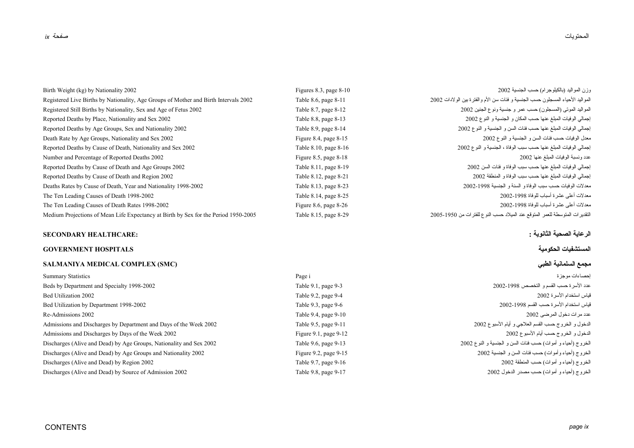| Birth Weight (kg) by Nationality 2002                                                | Figures 8.3, page $8-10$ | رزن المواليد (بالكيلوجر ام) حسب الجنسية 2002                                    |
|--------------------------------------------------------------------------------------|--------------------------|---------------------------------------------------------------------------------|
| Registered Live Births by Nationality, Age Groups of Mother and Birth Intervals 2002 | Table 8.6, page 8-11     | المواليد الأحياء المسجلون حسب الجنسية و فئات سن الأم والفتر ة بين الولادات 2002 |
| Registered Still Births by Nationality, Sex and Age of Fetus 2002                    | Table 8.7, page 8-12     | المواليد الموتى (المسجلون) حسب عمر و جنسية ونوع الجنين 2002                     |
| Reported Deaths by Place, Nationality and Sex 2002                                   | Table 8.8, page 8-13     | إجمالي الوفيات المبلغ عنها حسب المكان و الجنسية و النوع 2002                    |
| Reported Deaths by Age Groups, Sex and Nationality 2002                              | Table 8.9, page 8-14     | إجمالي الوفيات المبلغ عنها حسب فئات السن و الجنسية و النو ع 2002                |
| Death Rate by Age Groups, Nationality and Sex 2002                                   | Figure 8.4, page $8-15$  | معدل الوفيات حسب فئات السن و الجنسية و النو ع 2002                              |
| Reported Deaths by Cause of Death, Nationality and Sex 2002                          | Table 8.10, page 8-16    | إجمالي الوفيات المبلغ عنها حسب سبب الوفاة ، الجنسية و النو ع 2002               |
| Number and Percentage of Reported Deaths 2002                                        | Figure 8.5, page $8-18$  | عدد ونسبة الوفيات المبلغ عنها 2002                                              |
| Reported Deaths by Cause of Death and Age Groups 2002                                | Table 8.11, page 8-19    | إجمالي الوفيات المبلغ عنها حسب سبب الوفاة و فئات السن 2002                      |
| Reported Deaths by Cause of Death and Region 2002                                    | Table 8.12, page 8-21    | إجمالي الوفيات المبلغ عنها حسب سبب الوفاة و المنطقة 2002                        |
| Deaths Rates by Cause of Death, Year and Nationality 1998-2002                       | Table 8.13, page 8-23    | معدلات الوفيات حسب سبب الوفاة و السنة و الجنسية 1998-2002                       |
| The Ten Leading Causes of Death 1998-2002                                            | Table 8.14, page 8-25    | معدلات أعلى عشر ة أسباب للوفاة 1998-2002                                        |
| The Ten Leading Causes of Death Rates 1998-2002                                      | Figure 8.6, page $8-26$  | معدلات أعلى عشرة أسباب للوفاة 1998-2002                                         |
| Medium Projections of Mean Life Expectancy at Birth by Sex for the Period 1950-2005  | Table 8.15, page 8-29    | التقديرات المتوسطة للعمر المتوقع عند الميلاد حسب النوع للفترات من 1950-2005     |

# **الرعاية الصحية الثانوية : :HEALTHCARE SECONDARY**

# **المستشفيات الحكومية HOSPITALS GOVERNMENT**

# **SALMANIYA MEDICAL COMPLEX (SMC) الطبي السلمانية مجمع**

| Summary Statistics                                                  | Page i                     | احصـاءات مو جز ۃ                                            |
|---------------------------------------------------------------------|----------------------------|-------------------------------------------------------------|
| Beds by Department and Specialty 1998-2002                          | Table 9.1, page 9-3        | عدد الأسر ة حسب القسم و التخصص 1998-2002                    |
| <b>Bed Utilization 2002</b>                                         | Table 9.2, page 9-4        | قياس استخدام الأسر ة 2002                                   |
| Bed Utilization by Department 1998-2002                             | Table 9.3, page 9-6        | قياس استخدام الأسر ة حسب القسم 1998-2002                    |
| Re-Admissions 2002                                                  | Table 9.4, page 9-10       | عدد مرات دخول المرضى 2002                                   |
| Admissions and Discharges by Department and Days of the Week 2002   | Table 9.5, page 9-11       | الدخول و الخروج حسب القسم العلاجي و أيام الأسبوع 2002       |
| Admissions and Discharges by Days of the Week 2002                  | Figure $9.1$ , page $9-12$ | الدخول و الخروج حسب أيام الأسبوع 2002                       |
| Discharges (Alive and Dead) by Age Groups, Nationality and Sex 2002 | Table 9.6, page 9-13       | الخروج (أحياء و أموات) حسب فئات السن و الجنسية و النوع 2002 |
| Discharges (Alive and Dead) by Age Groups and Nationality 2002      | Figure 9.2, page $9-15$    | الخروج (أحياء وأموات) حسب فئات السن و الجنسية 2002          |
| Discharges (Alive and Dead) by Region 2002                          | Table 9.7, page 9-16       | الخروج (أحياء و أموات) حسب المنطقة 2002                     |
| Discharges (Alive and Dead) by Source of Admission 2002             | Table 9.8, page 9-17       | الخروج (أحياء و أموات) حسب مصدر الدخول 2002                 |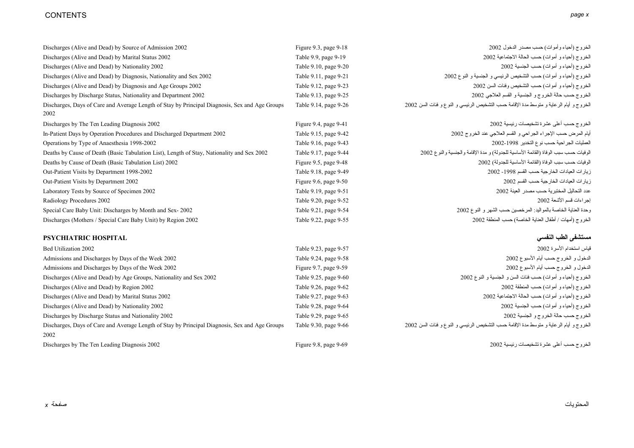# CONTENTS *page x*

| Discharges (Alive and Dead) by Source of Admission 2002                                                | Figure 9.3, page $9-18$ | الخروج (أحياء وأموات) حسب مصدر الدخول 2002                                             |
|--------------------------------------------------------------------------------------------------------|-------------------------|----------------------------------------------------------------------------------------|
| Discharges (Alive and Dead) by Marital Status 2002                                                     | Table 9.9, page 9-19    | الخروج (أحياء و أموات) حسب الحالة الاجتماعية 2002                                      |
| Discharges (Alive and Dead) by Nationality 2002                                                        | Table 9.10, page 9-20   | الخروج (أحياء و أموات) حسب الجنسية 2002                                                |
| Discharges (Alive and Dead) by Diagnosis, Nationality and Sex 2002                                     | Table 9.11, page 9-21   | الخروج (أحياء و أموات) حسب التشخيص الرئيسي و الجنسية و النوع 2002                      |
| Discharges (Alive and Dead) by Diagnosis and Age Groups 2002                                           | Table 9.12, page 9-23   | الخروج (أحياء و أموات) حسب التشخيص وفئات السن 2002                                     |
| Discharges by Discharge Status, Nationality and Department 2002                                        | Table 9.13, page 9-25   | الخروج حسب حالة الخروج و الجنسية و القسم العلاجي 2002                                  |
| Discharges, Days of Care and Average Length of Stay by Principal Diagnosis, Sex and Age Groups<br>2002 | Table 9.14, page 9-26   | الخروج و أيام الرعاية و متوسط مدة الإقامة حسب التشخيص الرئيسي و النوع و فئات السن 2002 |
| Discharges by The Ten Leading Diagnosis 2002                                                           | Figure 9.4, page $9-41$ | الخروج حسب أعلى عشرة تشخيصات رئيسية 2002                                               |
| In-Patient Days by Operation Procedures and Discharged Department 2002                                 | Table 9.15, page 9-42   | أيام المرض حسب الإجراء الجراحي و القسم العلاجي عند الخروج 2002                         |
| Operations by Type of Anaesthesia 1998-2002                                                            | Table 9.16, page 9-43   | العمليات الجر احية حسب نوع التخدير 1998-2002                                           |
| Deaths by Cause of Death (Basic Tabulation List), Length of Stay, Nationality and Sex 2002             | Table 9.17, page 9-44   | الوفيات حسب سبب الوفاة (القائمة الأساسية للجدولة) و مدة الإقامة والجنسية والنوع 2002   |
| Deaths by Cause of Death (Basic Tabulation List) 2002                                                  | Figure 9.5, page $9-48$ | الوفيات حسب سبب الوفاة (القائمة الأساسية للجدولة) 2002                                 |
| Out-Patient Visits by Department 1998-2002                                                             | Table 9.18, page 9-49   | زيار ات العيادات الخارجية حسب القسم 1998- 2002                                         |
| Out-Patient Visits by Department 2002                                                                  | Figure 9.6, page $9-50$ | زيار ات العيادات الخار جية حسب القسم 2002                                              |
| Laboratory Tests by Source of Specimen 2002                                                            | Table 9.19, page 9-51   | عدد التحاليل المختبرية حسب مصدر العينة 2002                                            |
| Radiology Procedures 2002                                                                              | Table 9.20, page 9-52   | إجر اءات فسم الأشعة 2002                                                               |
| Special Care Baby Unit: Discharges by Month and Sex-2002                                               | Table 9.21, page 9-54   | وحدة العناية الخاصة بالمواليد: المرخصين حسب الشهر و النوع 2002                         |
| Discharges (Mothers / Special Care Baby Unit) by Region 2002                                           | Table 9.22, page 9-55   | الخروج (أمهات / أطفال العناية الخاصة) حسب المنطقة 2002                                 |

# **مستشفى الطب النفسي HOSPITAL PSYCHIATRIC**

| Bed Utilization 2002                                                                           | Table 9.23, page 9-57      | قياس استخدام الأسر ة 2002                                                              |
|------------------------------------------------------------------------------------------------|----------------------------|----------------------------------------------------------------------------------------|
| Admissions and Discharges by Days of the Week 2002                                             | Table 9.24, page 9-58      | الدخول و الخروج حسب أيام الأسبوع 2002                                                  |
| Admissions and Discharges by Days of the Week 2002                                             | Figure $9.7$ , page $9-59$ | الدخول و الخروج حسب أيام الأسبوع 2002                                                  |
| Discharges (Alive and Dead) by Age Groups, Nationality and Sex 2002                            | Table 9.25, page 9-60      | الخروج (أحياء و أموات) حسب فئات السن و الجنسية و النوع 2002                            |
| Discharges (Alive and Dead) by Region 2002                                                     | Table 9.26, page 9-62      | الخروج (أحياء و أموات) حسب المنطقة 2002                                                |
| Discharges (Alive and Dead) by Marital Status 2002                                             | Table 9.27, page 9-63      | الخروج (أحياء و أموات) حسب الحالة الاجتماعية 2002                                      |
| Discharges (Alive and Dead) by Nationality 2002                                                | Table 9.28, page 9-64      | الخروج (أحياء و أموات) حسب الجنسية 2002                                                |
| Discharges by Discharge Status and Nationality 2002                                            | Table 9.29, page 9-65      | الخروج حسب حالة الخروج و الجنسية 2002                                                  |
| Discharges, Days of Care and Average Length of Stay by Principal Diagnosis, Sex and Age Groups | Table 9.30, page 9-66      | الخروج و أيام الرعاية و متوسط مدة الإقامة حسب التشخيص الرئيسي و النوع و فئات السن 2002 |
| 2002                                                                                           |                            |                                                                                        |
| Discharges by The Ten Leading Diagnosis 2002                                                   | Figure 9.8, page $9-69$    | الخروج حسب أعلى عشرة تشخيصات رئيسية 2002                                               |

المحتويات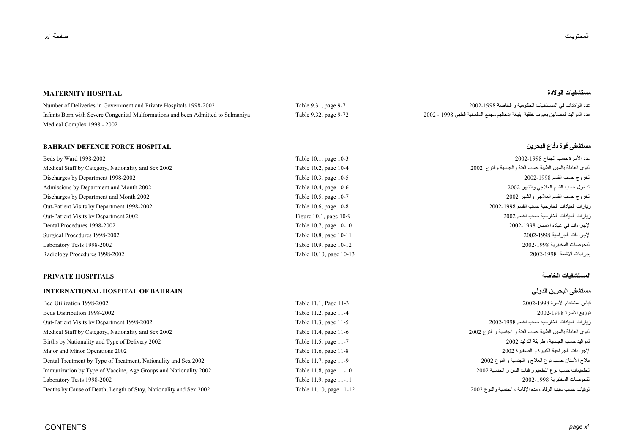### **مستشفيات الولادة HOSPITAL MATERNITY**

عدد الو لادات في المستشفيات الحكومية و الخاصة 2002-1998 Pumber of Deliveries in Government and Private Hospitals 1998-2002 هند الو لادات في المستشفيات الحكومية و الخاصة 2002-1998 المستشفيات الحكومية و الخاصة 2002-1998 الم Infants Born with Severe Congenital Malformations and been Admitted to Salmaniya Table 9.32, page 9-72 2002 - <sup>1998</sup> الطبي السلمانية مجمع إدخالهم بليغة خلقية بعيوب المصابين المواليد عدد Medical Complex 1998 - 2002

# **مستشفى قوة دفاع البحرين HOSPITAL FORCE DEFENCE BAHRAIN**

| Beds by Ward 1998-2002                              | Table 10.1, page 10-3    | عدد الأسر ة حسب الجناح 1998-2002                          |
|-----------------------------------------------------|--------------------------|-----------------------------------------------------------|
| Medical Staff by Category, Nationality and Sex 2002 | Table 10.2, page 10-4    | لقوى العاملة بالمهن الطبية حسب الفئة والجنسية والنوع 2002 |
| Discharges by Department 1998-2002                  | Table 10.3, page 10-5    | الخروج حسب القسم 1998-2002                                |
| Admissions by Department and Month 2002             | Table 10.4, page 10-6    | لدخول حسب القسم العلاجي والشهر 2002                       |
| Discharges by Department and Month 2002             | Table 10.5, page 10-7    | الخروج حسب القسم العلاجي والشهر 2002                      |
| Out-Patient Visits by Department 1998-2002          | Table 10.6, page 10-8    | زيار ات العيادات الخارجية حسب القسم 1998-2002             |
| Out-Patient Visits by Department 2002               | Figure 10.1, page $10-9$ | زيار ات العيادات الخار جية حسب القسم 2002                 |
| Dental Procedures 1998-2002                         | Table 10.7, page 10-10   | لإجر اءات في عيادة الأسنان 1998-2002                      |
| Surgical Procedures 1998-2002                       | Table 10.8, page 10-11   | لإجر اءات الجر احية 1998-2002                             |
| Laboratory Tests 1998-2002                          | Table 10.9, page 10-12   | الفحو صات المختبر ية 1998-2002                            |
| Radiology Procedures 1998-2002                      | Table 10.10, page 10-13  | اجر اءات الأشعة  1998-2002                                |

# **المستشفيات الخاصة HOSPITALS PRIVATE**

### **INTERNATIONAL HOSPITAL OF BAHRAIN الدولي البحرين مستشفى**

| Bed Utilization 1998-2002                                          | Table 11.1, Page 11-3   | قياس استخدام الأسر ة 1998-2002                               |
|--------------------------------------------------------------------|-------------------------|--------------------------------------------------------------|
| Beds Distribution 1998-2002                                        | Table 11.2, page 11-4   | توزيع الأسرة 1998-2002                                       |
| Out-Patient Visits by Department 1998-2002                         | Table 11.3, page 11-5   | زيار ات العيادات الخار جية حسب القسم 1998-2002               |
| Medical Staff by Category, Nationality and Sex 2002                | Table 11.4, page 11-6   | القوى العاملة بالمهن الطبية حسب الفئة و الجنسية و النوع 2002 |
| Births by Nationality and Type of Delivery 2002                    | Table 11.5, page 11-7   | المواليد حسب الجنسية وطريقة التوليد 2002                     |
| Major and Minor Operations 2002                                    | Table 11.6, page 11-8   | الإجر اءات الجر احية الكبير ة و الصغير ة 2002                |
| Dental Treatment by Type of Treatment, Nationality and Sex 2002    | Table 11.7, page 11-9   | علاج الأسنان حسب نوع العلاج و الجنسية و النوع 2002           |
| Immunization by Type of Vaccine, Age Groups and Nationality 2002   | Table 11.8, page 11-10  | التطعيمات حسب نوع التطعيم و فئات السن و الجنسية 2002         |
| Laboratory Tests 1998-2002                                         | Table 11.9, page 11-11  | الفحو صبات المختبر بـة 1998-2002                             |
| Deaths by Cause of Death, Length of Stay, Nationality and Sex 2002 | Table 11.10, page 11-12 | الوفيات حسب سبب الوفاة ، مدة الإقامة ، الجنسية والنو ع 2002  |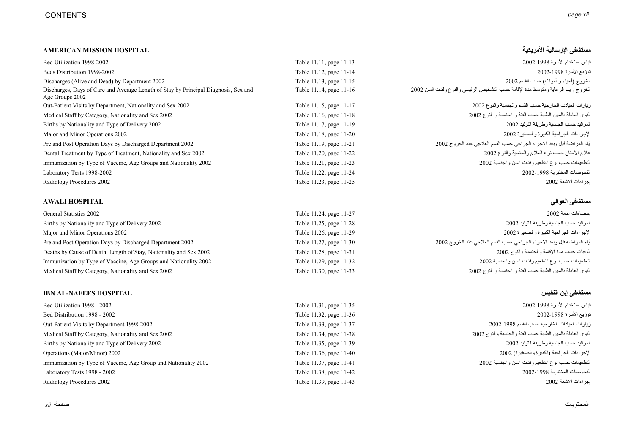### **مستشفى الإرسالية الأمريكية HOSPITAL MISSION AMERICAN**

| Bed Utilization 1998-2002                                                                              | Table 11.11, page 11-13 | قياس استخدام الأسر ة 1998-2002                                                     |
|--------------------------------------------------------------------------------------------------------|-------------------------|------------------------------------------------------------------------------------|
| Beds Distribution 1998-2002                                                                            | Table 11.12, page 11-14 | توزيع الأسرة 1998-2002                                                             |
| Discharges (Alive and Dead) by Department 2002                                                         | Table 11.13, page 11-15 | الخروج (أحياء و أموات) حسب القسم 2002                                              |
| Discharges, Days of Care and Average Length of Stay by Principal Diagnosis, Sex and<br>Age Groups 2002 | Table 11.14, page 11-16 | الخروج وأيام الرعاية ومتوسط مدة الإقامة حسب التشخيص الرئيسي والنوع وفئات السن 2002 |
| Out-Patient Visits by Department, Nationality and Sex 2002                                             | Table 11.15, page 11-17 | زيار ات العيادت الخارجية حسب القسم والجنسية والنوع 2002                            |
| Medical Staff by Category, Nationality and Sex 2002                                                    | Table 11.16, page 11-18 | القوى العاملة بالمهن الطبية حسب الفئة و الجنسية و النوع 2002                       |
| Births by Nationality and Type of Delivery 2002                                                        | Table 11.17, page 11-19 | المو اليد حسب الجنسية و طر يقة التو ليد 2002                                       |
| Major and Minor Operations 2002                                                                        | Table 11.18, page 11-20 | الإجر اءات الجر احية الكبير ة و الصغير ة 2002                                      |
| Pre and Post Operation Days by Discharged Department 2002                                              | Table 11.19, page 11-21 | أيام المر اضنة قبل وبعد الإجراء الجراحي حسب القسم العلاجي عند الخروج 2002          |
| Dental Treatment by Type of Treatment, Nationality and Sex 2002                                        | Table 11.20, page 11-22 | علاج الأسنان حسب نوع العلاج والجنسية والنوع 2002                                   |
| Immunization by Type of Vaccine, Age Groups and Nationality 2002                                       | Table 11.21, page 11-23 | التطعيمات حسب نوع التطعيم وفئات السن والجنسية 2002                                 |
| Laboratory Tests 1998-2002                                                                             | Table 11.22, page 11-24 | الفحو صات المختبرية 1998-2002                                                      |
| Radiology Procedures 2002                                                                              | Table 11.23, page 11-25 | احر اءات الأشعة 2002                                                               |

### **مستشفى العوالي HOSPITAL AWALI**

| General Statistics 2002                                            | Table 11.24, page 11-27 | احصناءات عامة 2002                                                        |
|--------------------------------------------------------------------|-------------------------|---------------------------------------------------------------------------|
| Births by Nationality and Type of Delivery 2002                    | Table 11.25, page 11-28 | الْمو الَّذِ حسب الْجِنسية و طر يقة التوليد 2002                          |
| Major and Minor Operations 2002                                    | Table 11.26, page 11-29 | الإجر اءات الجر احية الكبير ة و الصغير ة 2002                             |
| Pre and Post Operation Days by Discharged Department 2002          | Table 11.27, page 11-30 | أيام المر اضنة قبل وبعد الإجراء الجراحي حسب القسم العلاجي عند الخروج 2002 |
| Deaths by Cause of Death, Length of Stay, Nationality and Sex 2002 | Table 11.28, page 11-31 | الوفيات حسب مدة الإقامة والجنسية والنوع 2002                              |
| Immunization by Type of Vaccine, Age Groups and Nationality 2002   | Table 11.29, page 11-32 | التطعيمات حسب نوع التطعيم وفئات السن والجنسية 2002                        |
| Medical Staff by Category, Nationality and Sex 2002                | Table 11.30, page 11-33 | القوى العاملة بالمهن الطبية حسب الفئة و الجنسية و النوع 2002              |

### **IBN AL-NAFEES HOSPITAL النفيس إبن مستشفى**

Bed Utilization 1998 - 2002 Table 11.31, page 11-35 2002-1998 الأسرة استخدام قياس Bed Distribution 1998 - 2002 Table 11.32, page 11-36 2002-1998 الأسرة توزيع Out-Patient Visits by Department 1998-2002 Table 11.33, page 11-37 2002-1998 القسم حسب الخارجية العيادات زيارات Medical Staff by Category, Nationality and Sex 2002 Table 11.34, page 11-38 2002 والنوع والجنسية الفئة حسب الطبية بالمهن العاملة القوى Births by Nationality and Type of Delivery 2002 Table 11.35, page 11-39 2002 التوليد وطريقة الجنسية حسب المواليد Operations (Major/Minor) 2002 Table 11.36, page 11-40 2002 (والصغيرة الكبيرة (الجراحية الإجراءات Immunization by Type of Vaccine, Age Group and Nationality 2002 Table 11.37, page 11-41 2002 والجنسية السن وفئات التطعيم نوع حسب التطعيمات Laboratory Tests 1998 - 2002 Table 11.38, page 11-42 2002-1998 المختبرية الفحوصات Radiology Procedures 2002 Table 11.39, page 11-43 2002 الأشعة إجراءات